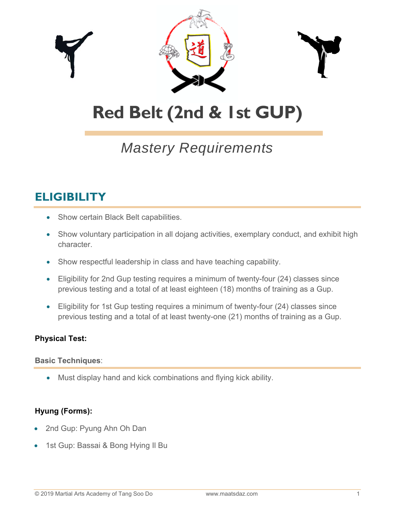

# **Red Belt (2nd & 1st GUP)**

## *Mastery Requirements*

### **ELIGIBILITY**

- Show certain Black Belt capabilities.
- Show voluntary participation in all dojang activities, exemplary conduct, and exhibit high character.
- Show respectful leadership in class and have teaching capability.
- Eligibility for 2nd Gup testing requires a minimum of twenty-four (24) classes since previous testing and a total of at least eighteen (18) months of training as a Gup.
- Eligibility for 1st Gup testing requires a minimum of twenty-four (24) classes since previous testing and a total of at least twenty-one (21) months of training as a Gup.

#### **Physical Test:**

#### **Basic Techniques**:

Must display hand and kick combinations and flying kick ability.

#### **Hyung (Forms):**

- 2nd Gup: Pyung Ahn Oh Dan
- 1st Gup: Bassai & Bong Hying Il Bu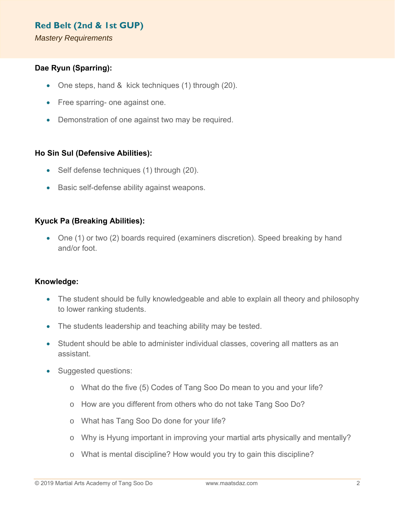#### **Red Belt (2nd & 1st GUP)**

*Mastery Requirements* 

#### **Dae Ryun (Sparring):**

- One steps, hand & kick techniques (1) through (20).
- Free sparring- one against one.
- Demonstration of one against two may be required.

#### **Ho Sin Sul (Defensive Abilities):**

- Self defense techniques (1) through (20).
- Basic self-defense ability against weapons.

#### **Kyuck Pa (Breaking Abilities):**

• One (1) or two (2) boards required (examiners discretion). Speed breaking by hand and/or foot.

#### **Knowledge:**

- The student should be fully knowledgeable and able to explain all theory and philosophy to lower ranking students.
- The students leadership and teaching ability may be tested.
- Student should be able to administer individual classes, covering all matters as an assistant.
- Suggested questions:
	- o What do the five (5) Codes of Tang Soo Do mean to you and your life?
	- o How are you different from others who do not take Tang Soo Do?
	- o What has Tang Soo Do done for your life?
	- o Why is Hyung important in improving your martial arts physically and mentally?
	- o What is mental discipline? How would you try to gain this discipline?